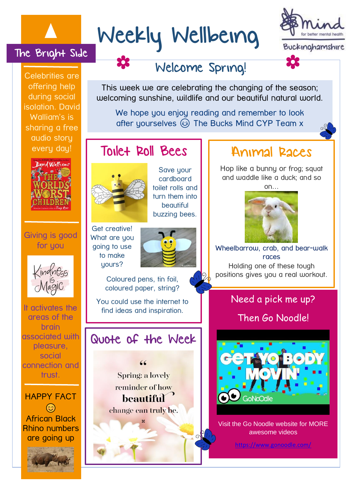# Weekly Wellbeing



Celebrities are offering help during social isolation. David Walliam's is sharing a free audio story every day!

The Bright Side



Giving is good for you



It activates the areas of the brain associated with pleasure, social connection and trust.

HAPPY FACT  $\odot$ African Black Rhino numbers are going up

Welcome Spring!

This week we are celebrating the changing of the season; welcoming sunshine, wildlife and our beautiful natural world.

We hope you enjoy reading and remember to look after yourselves  $\circledS$  The Bucks Mind CYP Team x

# Toilet Roll Bees 11 Animal Races



Get creative! What are you going to use to make yours?

Save your cardboard toilet rolls and turn them into beautiful buzzing bees.



Coloured pens, tin foil, coloured paper, string?

You could use the internet to find ideas and inspiration.

# Quote of the Week

Spring: a lovely reminder of how beautiful change can truly be.

Hop like a bunny or frog; squat and waddle like a duck; and so on…



Wheelbarrow, crab, and bear-walk races Holding one of these tough positions gives you a real workout.

## Need a pick me up?

l.

Then Go Noodle!



Visit the Go Noodle website for MORE awesome videos

<https://www.gonoodle.com/>